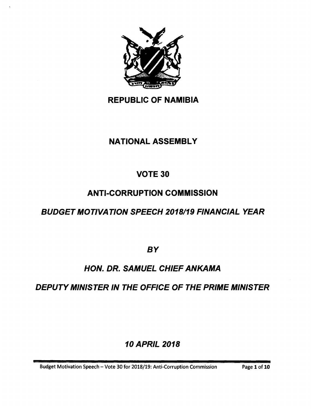

## **REPUBLIC OF NAMIBIA**

## **NATIONAL ASSEMBLY**

## **VOTE 30**

## **ANTI-CORRUPTION COMMISSION**

## *BUDGET MOTIVATION SPEECH 2018/19 FINANCIAL YEAR*

*BY*

# *HON. DR. SAMUEL CHIEF ANKAMA*

# *DEPUTY MINISTER IN THE OFFICE* **OF** *THE PRIME MINISTER*

# *10 APRIL 2018*

Budget Motivation Speech - Vote 30 for 2018/19: Anti-Corruption Commission Page 1 of 10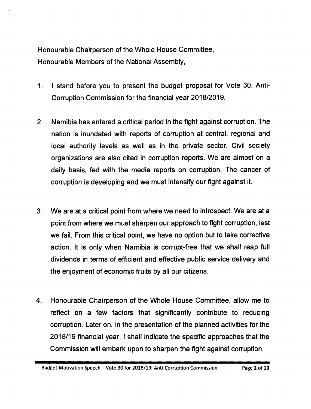Honourable Chairperson of the Whole House Committee, Honourable Members of the National Assembly,

- 1. I stand before you to present the budget proposal for Vote 30, Anti-Corruption Commission for the financial year *2018/2019.*
- 2. Namibia has entered a critical period in the fight against corruption. The nation is inundated with reports of corruption at central, regional and local authority levels as well as in the private sector. Civil society organizations are also cited in corruption reports. We are almost on a daily basis, fed with the media reports on corruption. The cancer of corruption is developing and we must intensify our fight against it.
- 3. We are at a critical point from where we need to introspect. We are at a point from where we must sharpen our approach to fight corruption, lest we fail. From this critical point, we have no option but to take corrective action. It is only when Namibia is corrupt-free that we shall reap full dividends in terms of efficient and effective public service delivery and the enjoyment of economic fruits by all our citizens.
- 4. Honourable Chairperson of the Whole House Committee, allow me to reflect on a few factors that significantly contribute to reducing corruption. Later on, in the presentation of the planned activities for the *2018/19* financial year, I shall indicate the specific approaches that the Commission will embark upon to sharpen the fight against corruption.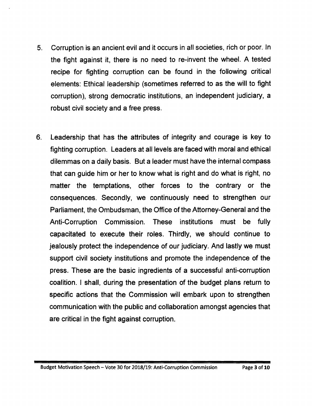- 5. Corruption is an ancient evil and it occurs in all societies, rich or poor. In the fight against it, there is no need to re-invent the wheel. A tested recipe for fighting corruption can be found in the following critical elements: Ethical leadership (sometimes referred to as the will to fight corruption), strong democratic institutions, an independent judiciary, a robust civil society and a free press.
- 6. Leadership that has the attributes of integrity and courage is key to fighting corruption. Leaders at all levels are faced with moral and ethical dilemmas on a daily basis. But a leader must have the internal compass that can guide him or her to know what is right and do what is right, no matter the temptations, other forces to the contrary or the consequences. Secondly, we continuously need to strengthen our Parliament, the Ombudsman, the Office of the Attorney-General and the Anti-Corruption Commission. These institutions must be fully capacitated to execute their roles. Thirdly, we should continue to jealously protect the independence of our judiciary. And lastly we must support civil society institutions and promote the independence of the press. These are the basic ingredients of a successful anti-corruption coalition. I shall, during the presentation of the budget plans return to specific actions that the Commission will embark upon to strengthen communication with the public and collaboration amongst agencies that are critical in the fight against corruption.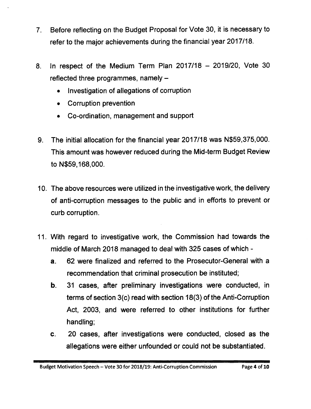- 7. Before reflecting on the Budget Proposal for Vote 30, it is necessary to refer to the major achievements during the financial year *2017/18.*
- 8. In respect of the Medium Term Plan *2017/18 - 2019/20,* Vote 30 reflected three programmes, namely  $-$ 
	- Investigation of allegations of corruption
	- Corruption prevention
	- Co-ordination, management and support
- 9. The initial allocation for the financial year *2017/18* was N\$59,375,000. This amount was however reduced during the Mid-term Budget Review to N\$59,168,000.
- 10. The above resources were utilized in the investigative work, the delivery of anti-corruption messages to the public and in efforts to prevent or curb corruption.
- 11. With regard to investigative work, the Commission had towards the middle of March 2018 managed to deal with 325 cases of which
	- a. 62 were finalized and referred to the Prosecutor-General with a recommendation that criminal prosecution be instituted;
	- b. 31 cases, after preliminary investigations were conducted, in terms of section 3(c) read with section 18(3) of the Anti-Corruption Act, 2003, and were referred to other institutions for further handling;
	- c. 20 cases, after investigations were conducted, closed as the allegations were either unfounded or could not be substantiated.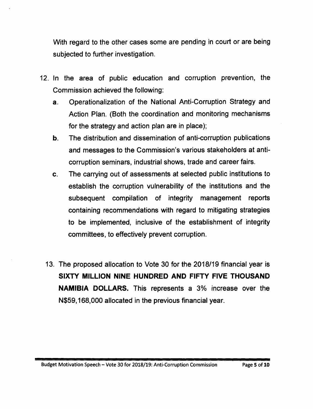With regard to the other cases some are pending in court or are being subjected to further investigation.

- 12. In the area of public education and corruption prevention, the Commission achieved the following:
	- a. Operationalization of the National Anti-Corruption Strategy and Action Plan. (Both the coordination and monitoring mechanisms for the strategy and action plan are in place);
	- b. The distribution and dissemination of anti-corruption publications and messages to the Commission's various stakeholders at anticorruption seminars, industrial shows, trade and career fairs.
	- c. The carrying out of assessments at selected public institutions to establish the corruption vulnerability of the institutions and the subsequent compilation of integrity management reports containing recommendations with regard to mitigating strategies to be implemented, inclusive of the establishment of integrity committees, to effectively prevent corruption.
	- 13. The proposed allocation to Vote 30 for the 2018/19 financial year is **SIXTY MILLION NINE HUNDRED AND FIFTY FIVE THOUSAND NAMIBIA DOLLARS.** This represents a 3% increase over the N\$59, 168,000 allocated in the previous financial year.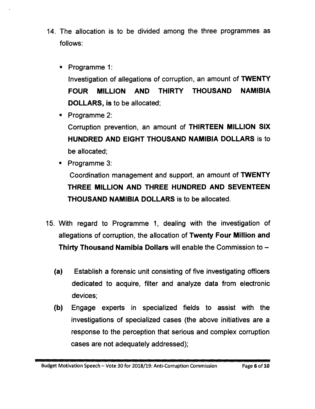- 14. The allocation is to be divided among the three programmes as follows:
	- Programme 1: Investigation of allegations of corruption, an amount of **TWENTY FOUR MILLION AND THIRTY THOUSAND NAMIBIA DOLLARS, is** to be allocated;

• Programme 2: Corruption prevention, an amount of **THIRTEEN MILLION SIX HUNDRED AND EIGHT THOUSAND NAMIBIA DOLLARS** is to be allocated;

- Programme 3: Coordination management and support, an amount of **TWENTY THREE MILLION AND THREE HUNDRED AND SEVENTEEN THOUSAND NAMIBIA DOLLARS** is to be allocated.
- 15. With regard to Programme 1, dealing with the investigation of allegations of corruption, the allocation of **Twenty Four Million and Thirty Thousand Namibia Dollars** will enable the Commission to -
	- **(a)** Establish a forensic unit consisting of five investigating officers dedicated to acquire, filter and analyze data from electronic devices;
	- **(b)** Engage experts in specialized fields to assist with the investigations of specialized cases (the above initiatives are a response to the perception that serious and complex corruption cases are not adequately addressed);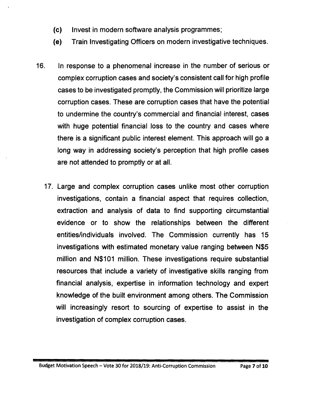- (c) Invest in modern software analysis programmes;
- (e) Train Investigating Officers on modern investigative techniques.
- 16. In response to a phenomenal increase in the number of serious or complex corruption cases and society's consistent call for high profile cases to be investigated promptly, the Commission will prioritize large corruption cases. These are corruption cases that have the potential to undermine the country's commercial and financial interest, cases with huge potential financial loss to the country and cases where there is a significant public interest element. This approach will go a long way in addressing society's perception that high profile cases are not attended to promptly or at all.
	- 17. Large and complex corruption cases unlike most other corruption investigations, contain a financial aspect that requires collection, extraction and analysis of data to find supporting circumstantial evidence or to show the relationships between the different entities/individuals involved. The Commission currently has 15 investigations with estimated monetary value ranging between N\$5 million and N\$101 million. These investigations require substantial resources that include a variety of investigative skills ranging from financial analysis, expertise in information technology and expert knowledge of the built environment among others. The Commission will increasingly resort to sourcing of expertise to assist in the investigation of complex corruption cases.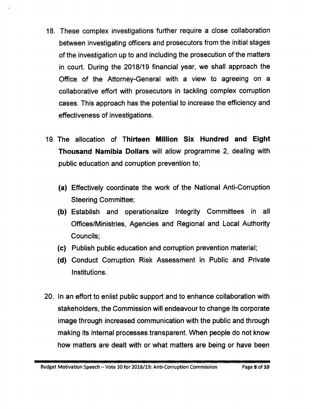- 18. These complex investigations further require a close collaboration between investigating officers and prosecutors from the initial stages of the investigation up to and including the prosecution of the matters in court. During the 2018/19 financial year, we shall approach the Office of the Attorney-General with a view to agreeing on a collaborative effort with prosecutors in tackling complex corruption cases. This approach has the potential to increase the efficiency and effectiveness of investigations.
- 19. The allocation of Thirteen Million Six Hundred and Eight Thousand Namibia Dollars will allow programme 2, dealing with public education and corruption prevention to;
	- (a) Effectively coordinate the work of the National Anti-Corruption Steering Committee;
	- (b) Establish and operationalize Integrity Committees in all Offices/Ministries, Agencies and Regional and Local Authority Councils;
	- (c) Publish public education and corruption prevention material;
	- (d) Conduct Corruption Risk Assessment in Public and Private Institutions.
- 20. In an effort to enlist public support and to enhance collaboration with stakeholders, the Commission will endeavour to change its corporate image through increased communication with the public and through making its internal processes transparent. When people do not know how matters are dealt with or what matters are being or have been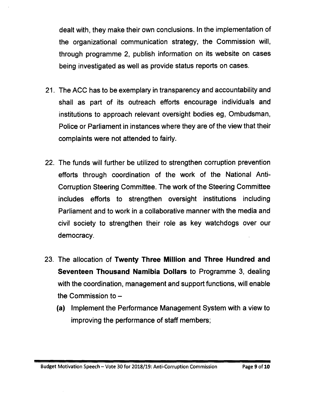dealt with, they make their own conclusions. In the implementation of the organizational communication strategy, the Commission will, through programme 2, publish information on its website on cases being investigated as well as provide status reports on cases.

- 21. The ACC has to be exemplary in transparency and accountability and shall as part of its outreach efforts encourage individuals and institutions to approach relevant oversight bodies eg, Ombudsman, Police or Parliament in instances where they are of the view that their complaints were not attended to fairly.
- 22. The funds will further be utilized to strengthen corruption prevention efforts through coordination of the work of the National Anti-Corruption Steering Committee. The work of the Steering Committee includes efforts to strengthen oversight institutions including Parliament and to work in a collaborative manner with the media and civil society to strengthen their role as key watchdogs over our democracy.
- 23. The allocation of **Twenty Three Million and Three Hundred and Seventeen Thousand Namibia Dollars** to Programme 3, dealing with the coordination, management and support functions, will enable the Commission to  $-$ 
	- **(a)** Implement the Performance Management System with a view to improving the performance of staff members;